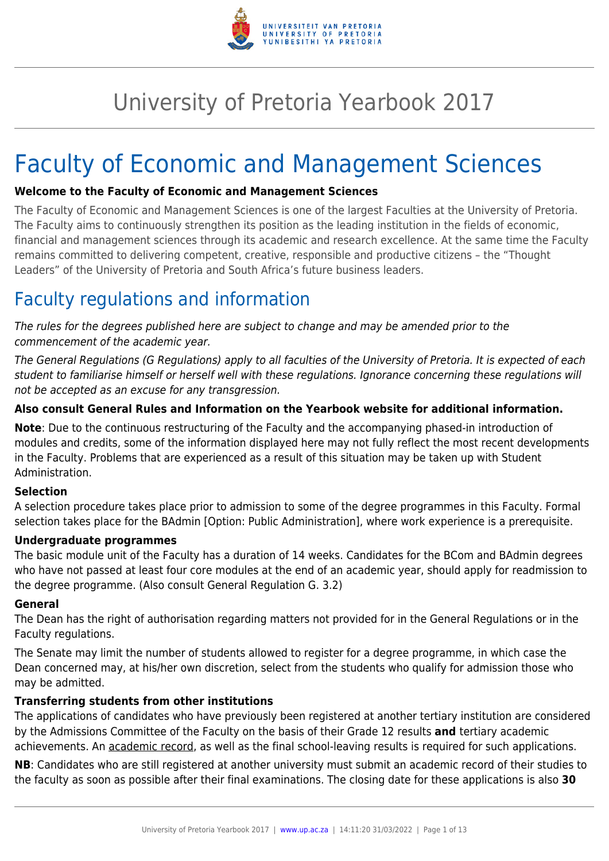

# University of Pretoria Yearbook 2017

# Faculty of Economic and Management Sciences

### **Welcome to the Faculty of Economic and Management Sciences**

The Faculty of Economic and Management Sciences is one of the largest Faculties at the University of Pretoria. The Faculty aims to continuously strengthen its position as the leading institution in the fields of economic, financial and management sciences through its academic and research excellence. At the same time the Faculty remains committed to delivering competent, creative, responsible and productive citizens – the "Thought Leaders" of the University of Pretoria and South Africa's future business leaders.

# Faculty regulations and information

The rules for the degrees published here are subject to change and may be amended prior to the commencement of the academic year.

The General Regulations (G Regulations) apply to all faculties of the University of Pretoria. It is expected of each student to familiarise himself or herself well with these regulations. Ignorance concerning these regulations will not be accepted as an excuse for any transgression.

## **Also consult General Rules and Information on the Yearbook website for additional information.**

**Note**: Due to the continuous restructuring of the Faculty and the accompanying phased-in introduction of modules and credits, some of the information displayed here may not fully reflect the most recent developments in the Faculty. Problems that are experienced as a result of this situation may be taken up with Student Administration.

### **Selection**

A selection procedure takes place prior to admission to some of the degree programmes in this Faculty. Formal selection takes place for the BAdmin [Option: Public Administration], where work experience is a prerequisite.

### **Undergraduate programmes**

The basic module unit of the Faculty has a duration of 14 weeks. Candidates for the BCom and BAdmin degrees who have not passed at least four core modules at the end of an academic year, should apply for readmission to the degree programme. (Also consult General Regulation G. 3.2)

### **General**

The Dean has the right of authorisation regarding matters not provided for in the General Regulations or in the Faculty regulations.

The Senate may limit the number of students allowed to register for a degree programme, in which case the Dean concerned may, at his/her own discretion, select from the students who qualify for admission those who may be admitted.

### **Transferring students from other institutions**

The applications of candidates who have previously been registered at another tertiary institution are considered by the Admissions Committee of the Faculty on the basis of their Grade 12 results **and** tertiary academic achievements. An academic record, as well as the final school-leaving results is required for such applications.

**NB**: Candidates who are still registered at another university must submit an academic record of their studies to the faculty as soon as possible after their final examinations. The closing date for these applications is also **30**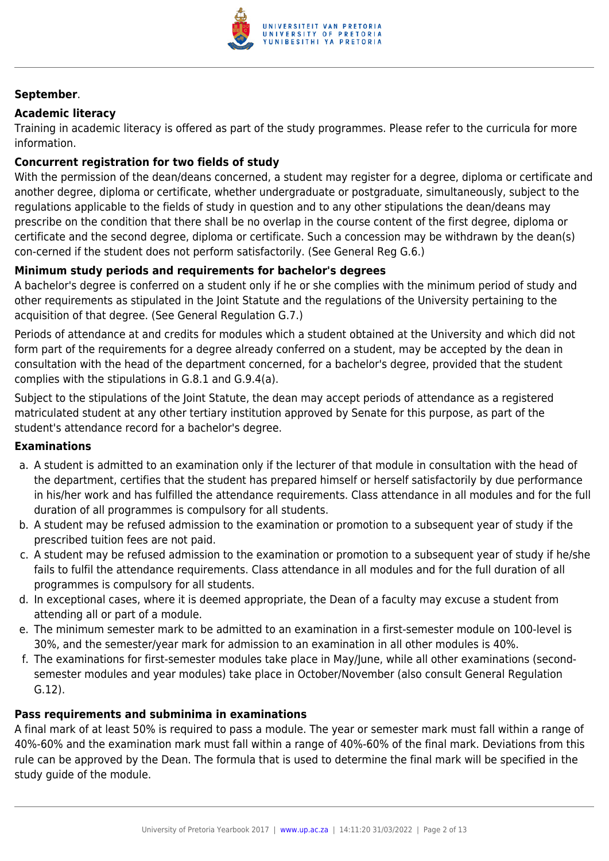

### **September**.

#### **Academic literacy**

Training in academic literacy is offered as part of the study programmes. Please refer to the curricula for more information.

### **Concurrent registration for two fields of study**

With the permission of the dean/deans concerned, a student may register for a degree, diploma or certificate and another degree, diploma or certificate, whether undergraduate or postgraduate, simultaneously, subject to the regulations applicable to the fields of study in question and to any other stipulations the dean/deans may prescribe on the condition that there shall be no overlap in the course content of the first degree, diploma or certificate and the second degree, diploma or certificate. Such a concession may be withdrawn by the dean(s) con-cerned if the student does not perform satisfactorily. (See General Reg G.6.)

#### **Minimum study periods and requirements for bachelor's degrees**

A bachelor's degree is conferred on a student only if he or she complies with the minimum period of study and other requirements as stipulated in the Joint Statute and the regulations of the University pertaining to the acquisition of that degree. (See General Regulation G.7.)

Periods of attendance at and credits for modules which a student obtained at the University and which did not form part of the requirements for a degree already conferred on a student, may be accepted by the dean in consultation with the head of the department concerned, for a bachelor's degree, provided that the student complies with the stipulations in G.8.1 and G.9.4(a).

Subject to the stipulations of the Joint Statute, the dean may accept periods of attendance as a registered matriculated student at any other tertiary institution approved by Senate for this purpose, as part of the student's attendance record for a bachelor's degree.

#### **Examinations**

- a. A student is admitted to an examination only if the lecturer of that module in consultation with the head of the department, certifies that the student has prepared himself or herself satisfactorily by due performance in his/her work and has fulfilled the attendance requirements. Class attendance in all modules and for the full duration of all programmes is compulsory for all students.
- b. A student may be refused admission to the examination or promotion to a subsequent year of study if the prescribed tuition fees are not paid.
- c. A student may be refused admission to the examination or promotion to a subsequent year of study if he/she fails to fulfil the attendance requirements. Class attendance in all modules and for the full duration of all programmes is compulsory for all students.
- d. In exceptional cases, where it is deemed appropriate, the Dean of a faculty may excuse a student from attending all or part of a module.
- e. The minimum semester mark to be admitted to an examination in a first-semester module on 100-level is 30%, and the semester/year mark for admission to an examination in all other modules is 40%.
- f. The examinations for first-semester modules take place in May/June, while all other examinations (secondsemester modules and year modules) take place in October/November (also consult General Regulation G.12).

#### **Pass requirements and subminima in examinations**

A final mark of at least 50% is required to pass a module. The year or semester mark must fall within a range of 40%-60% and the examination mark must fall within a range of 40%-60% of the final mark. Deviations from this rule can be approved by the Dean. The formula that is used to determine the final mark will be specified in the study guide of the module.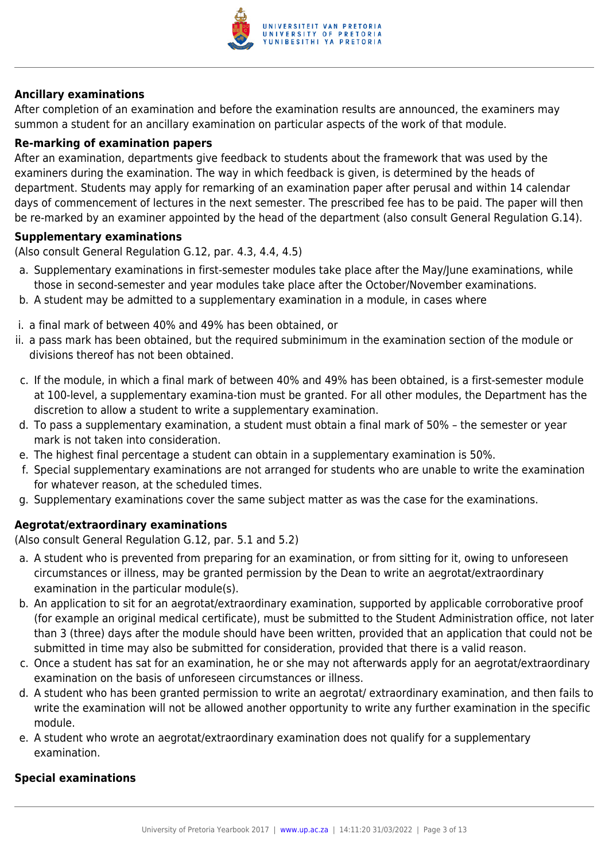

### **Ancillary examinations**

After completion of an examination and before the examination results are announced, the examiners may summon a student for an ancillary examination on particular aspects of the work of that module.

#### **Re-marking of examination papers**

After an examination, departments give feedback to students about the framework that was used by the examiners during the examination. The way in which feedback is given, is determined by the heads of department. Students may apply for remarking of an examination paper after perusal and within 14 calendar days of commencement of lectures in the next semester. The prescribed fee has to be paid. The paper will then be re-marked by an examiner appointed by the head of the department (also consult General Regulation G.14).

#### **Supplementary examinations**

(Also consult General Regulation G.12, par. 4.3, 4.4, 4.5)

- a. Supplementary examinations in first-semester modules take place after the May/June examinations, while those in second-semester and year modules take place after the October/November examinations.
- b. A student may be admitted to a supplementary examination in a module, in cases where
- i. a final mark of between 40% and 49% has been obtained, or
- ii. a pass mark has been obtained, but the required subminimum in the examination section of the module or divisions thereof has not been obtained.
- c. If the module, in which a final mark of between 40% and 49% has been obtained, is a first-semester module at 100-level, a supplementary examina-tion must be granted. For all other modules, the Department has the discretion to allow a student to write a supplementary examination.
- d. To pass a supplementary examination, a student must obtain a final mark of 50% the semester or year mark is not taken into consideration.
- e. The highest final percentage a student can obtain in a supplementary examination is 50%.
- f. Special supplementary examinations are not arranged for students who are unable to write the examination for whatever reason, at the scheduled times.
- g. Supplementary examinations cover the same subject matter as was the case for the examinations.

## **Aegrotat/extraordinary examinations**

(Also consult General Regulation G.12, par. 5.1 and 5.2)

- a. A student who is prevented from preparing for an examination, or from sitting for it, owing to unforeseen circumstances or illness, may be granted permission by the Dean to write an aegrotat/extraordinary examination in the particular module(s).
- b. An application to sit for an aegrotat/extraordinary examination, supported by applicable corroborative proof (for example an original medical certificate), must be submitted to the Student Administration office, not later than 3 (three) days after the module should have been written, provided that an application that could not be submitted in time may also be submitted for consideration, provided that there is a valid reason.
- c. Once a student has sat for an examination, he or she may not afterwards apply for an aegrotat/extraordinary examination on the basis of unforeseen circumstances or illness.
- d. A student who has been granted permission to write an aegrotat/ extraordinary examination, and then fails to write the examination will not be allowed another opportunity to write any further examination in the specific module.
- e. A student who wrote an aegrotat/extraordinary examination does not qualify for a supplementary examination.

### **Special examinations**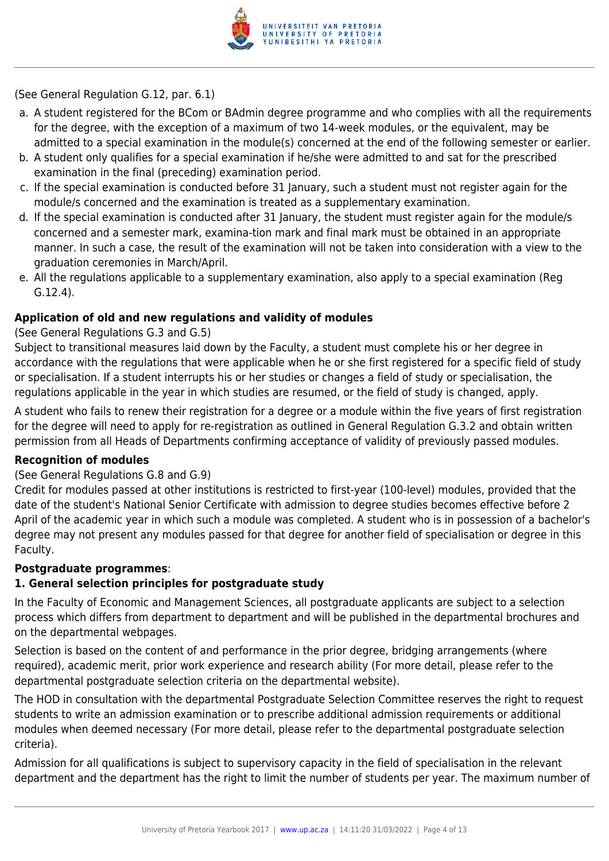

(See General Regulation G.12, par. 6.1)

- a. A student registered for the BCom or BAdmin degree programme and who complies with all the requirements for the degree, with the exception of a maximum of two 14-week modules, or the equivalent, may be admitted to a special examination in the module(s) concerned at the end of the following semester or earlier.
- b. A student only qualifies for a special examination if he/she were admitted to and sat for the prescribed examination in the final (preceding) examination period.
- c. If the special examination is conducted before 31 January, such a student must not register again for the module/s concerned and the examination is treated as a supplementary examination.
- d. If the special examination is conducted after 31 January, the student must register again for the module/s concerned and a semester mark, examina-tion mark and final mark must be obtained in an appropriate manner. In such a case, the result of the examination will not be taken into consideration with a view to the graduation ceremonies in March/April.
- e. All the regulations applicable to a supplementary examination, also apply to a special examination (Reg G.12.4).

### **Application of old and new regulations and validity of modules**

### (See General Regulations G.3 and G.5)

Subject to transitional measures laid down by the Faculty, a student must complete his or her degree in accordance with the regulations that were applicable when he or she first registered for a specific field of study or specialisation. If a student interrupts his or her studies or changes a field of study or specialisation, the regulations applicable in the year in which studies are resumed, or the field of study is changed, apply.

A student who fails to renew their registration for a degree or a module within the five years of first registration for the degree will need to apply for re-registration as outlined in General Regulation G.3.2 and obtain written permission from all Heads of Departments confirming acceptance of validity of previously passed modules.

### **Recognition of modules**

### (See General Regulations G.8 and G.9)

Credit for modules passed at other institutions is restricted to first-year (100-level) modules, provided that the date of the student's National Senior Certificate with admission to degree studies becomes effective before 2 April of the academic year in which such a module was completed. A student who is in possession of a bachelor's degree may not present any modules passed for that degree for another field of specialisation or degree in this Faculty.

### **Postgraduate programmes**:

### **1. General selection principles for postgraduate study**

In the Faculty of Economic and Management Sciences, all postgraduate applicants are subject to a selection process which differs from department to department and will be published in the departmental brochures and on the departmental webpages.

Selection is based on the content of and performance in the prior degree, bridging arrangements (where required), academic merit, prior work experience and research ability (For more detail, please refer to the departmental postgraduate selection criteria on the departmental website).

The HOD in consultation with the departmental Postgraduate Selection Committee reserves the right to request students to write an admission examination or to prescribe additional admission requirements or additional modules when deemed necessary (For more detail, please refer to the departmental postgraduate selection criteria).

Admission for all qualifications is subject to supervisory capacity in the field of specialisation in the relevant department and the department has the right to limit the number of students per year. The maximum number of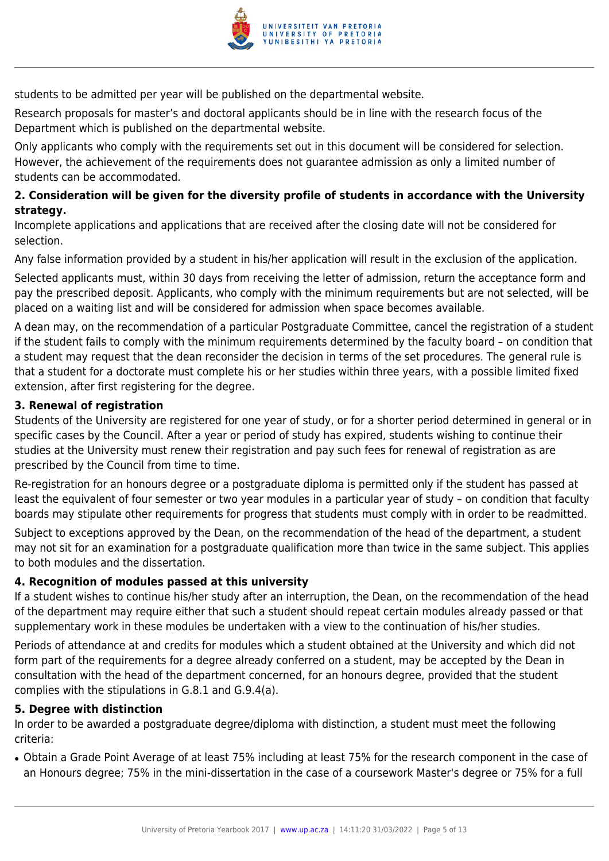

students to be admitted per year will be published on the departmental website.

Research proposals for master's and doctoral applicants should be in line with the research focus of the Department which is published on the departmental website.

Only applicants who comply with the requirements set out in this document will be considered for selection. However, the achievement of the requirements does not guarantee admission as only a limited number of students can be accommodated.

### **2. Consideration will be given for the diversity profile of students in accordance with the University strategy.**

Incomplete applications and applications that are received after the closing date will not be considered for selection.

Any false information provided by a student in his/her application will result in the exclusion of the application.

Selected applicants must, within 30 days from receiving the letter of admission, return the acceptance form and pay the prescribed deposit. Applicants, who comply with the minimum requirements but are not selected, will be placed on a waiting list and will be considered for admission when space becomes available.

A dean may, on the recommendation of a particular Postgraduate Committee, cancel the registration of a student if the student fails to comply with the minimum requirements determined by the faculty board – on condition that a student may request that the dean reconsider the decision in terms of the set procedures. The general rule is that a student for a doctorate must complete his or her studies within three years, with a possible limited fixed extension, after first registering for the degree.

#### **3. Renewal of registration**

Students of the University are registered for one year of study, or for a shorter period determined in general or in specific cases by the Council. After a year or period of study has expired, students wishing to continue their studies at the University must renew their registration and pay such fees for renewal of registration as are prescribed by the Council from time to time.

Re-registration for an honours degree or a postgraduate diploma is permitted only if the student has passed at least the equivalent of four semester or two year modules in a particular year of study – on condition that faculty boards may stipulate other requirements for progress that students must comply with in order to be readmitted.

Subject to exceptions approved by the Dean, on the recommendation of the head of the department, a student may not sit for an examination for a postgraduate qualification more than twice in the same subject. This applies to both modules and the dissertation.

### **4. Recognition of modules passed at this university**

If a student wishes to continue his/her study after an interruption, the Dean, on the recommendation of the head of the department may require either that such a student should repeat certain modules already passed or that supplementary work in these modules be undertaken with a view to the continuation of his/her studies.

Periods of attendance at and credits for modules which a student obtained at the University and which did not form part of the requirements for a degree already conferred on a student, may be accepted by the Dean in consultation with the head of the department concerned, for an honours degree, provided that the student complies with the stipulations in G.8.1 and G.9.4(a).

#### **5. Degree with distinction**

In order to be awarded a postgraduate degree/diploma with distinction, a student must meet the following criteria:

● Obtain a Grade Point Average of at least 75% including at least 75% for the research component in the case of an Honours degree; 75% in the mini-dissertation in the case of a coursework Master's degree or 75% for a full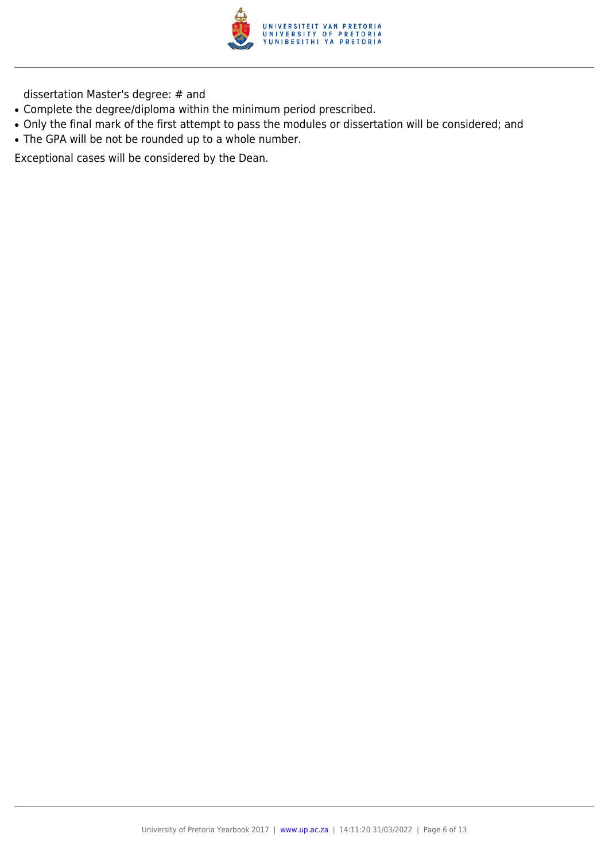

dissertation Master's degree: # and

- Complete the degree/diploma within the minimum period prescribed.
- Only the final mark of the first attempt to pass the modules or dissertation will be considered; and
- The GPA will be not be rounded up to a whole number.

Exceptional cases will be considered by the Dean.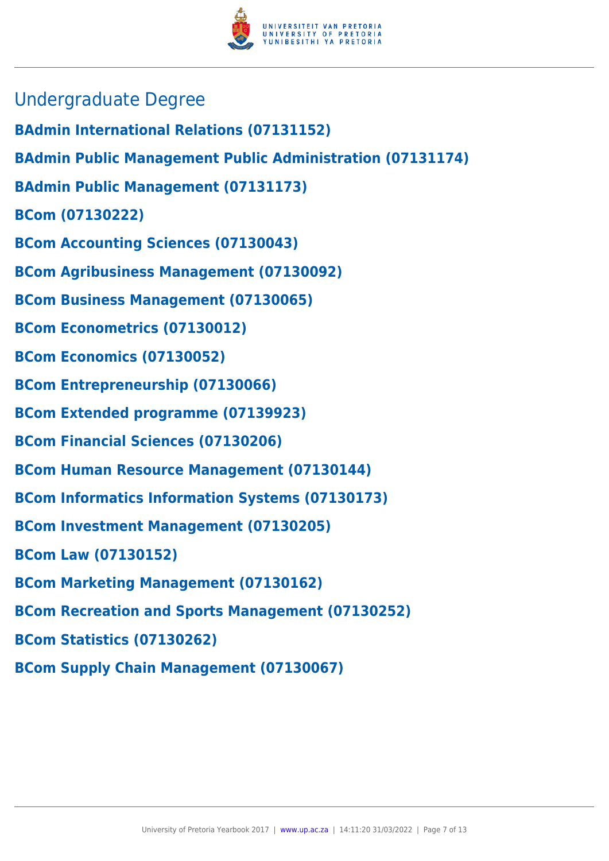

- Undergraduate Degree
- **BAdmin International Relations (07131152)**
- **BAdmin Public Management Public Administration (07131174)**
- **BAdmin Public Management (07131173)**
- **BCom (07130222)**
- **BCom Accounting Sciences (07130043)**
- **BCom Agribusiness Management (07130092)**
- **BCom Business Management (07130065)**
- **BCom Econometrics (07130012)**
- **BCom Economics (07130052)**
- **BCom Entrepreneurship (07130066)**
- **BCom Extended programme (07139923)**
- **BCom Financial Sciences (07130206)**
- **BCom Human Resource Management (07130144)**
- **BCom Informatics Information Systems (07130173)**
- **BCom Investment Management (07130205)**
- **BCom Law (07130152)**
- **BCom Marketing Management (07130162)**
- **BCom Recreation and Sports Management (07130252)**
- **BCom Statistics (07130262)**
- **BCom Supply Chain Management (07130067)**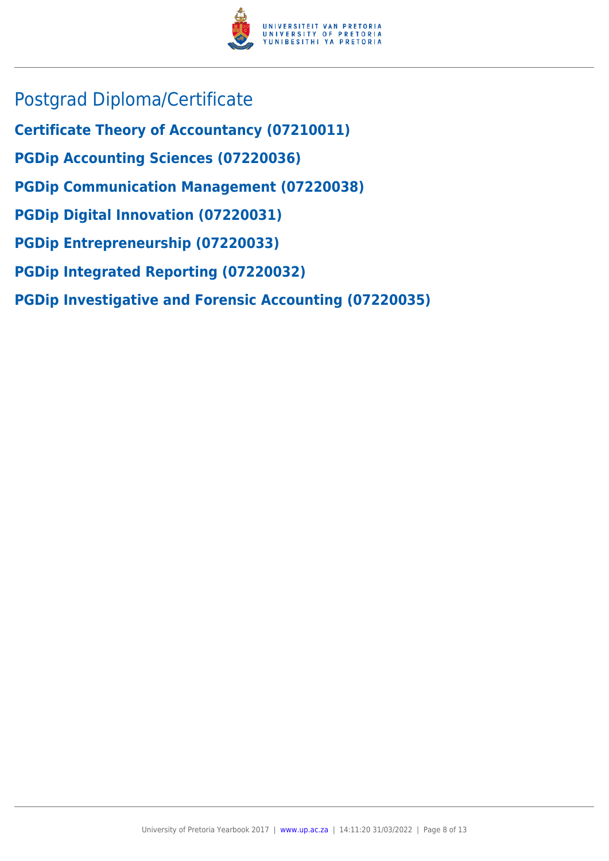

- Postgrad Diploma/Certificate
- **Certificate Theory of Accountancy (07210011)**
- **PGDip Accounting Sciences (07220036)**
- **PGDip Communication Management (07220038)**
- **PGDip Digital Innovation (07220031)**
- **PGDip Entrepreneurship (07220033)**
- **PGDip Integrated Reporting (07220032)**
- **PGDip Investigative and Forensic Accounting (07220035)**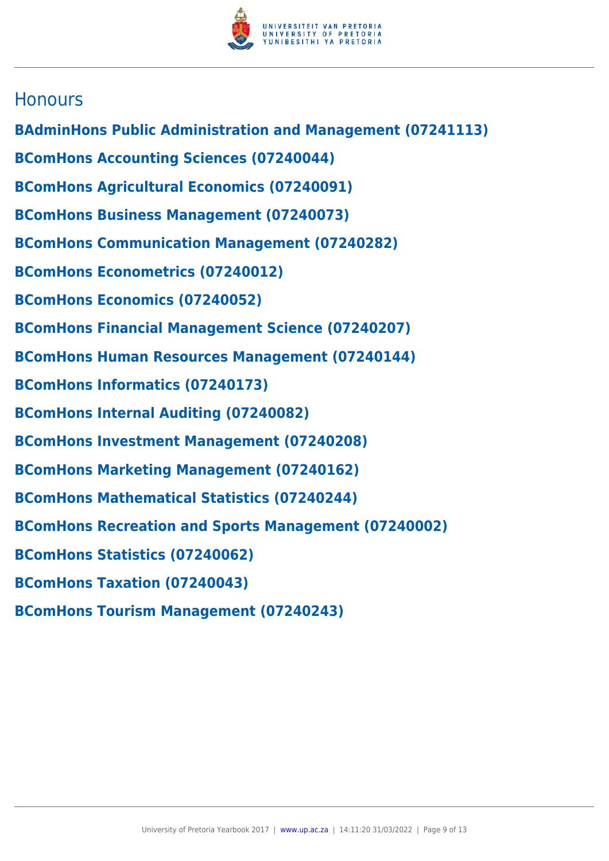

# **Honours**

- **BAdminHons Public Administration and Management (07241113)**
- **BComHons Accounting Sciences (07240044)**
- **BComHons Agricultural Economics (07240091)**
- **BComHons Business Management (07240073)**
- **BComHons Communication Management (07240282)**
- **BComHons Econometrics (07240012)**
- **BComHons Economics (07240052)**
- **BComHons Financial Management Science (07240207)**
- **BComHons Human Resources Management (07240144)**
- **BComHons Informatics (07240173)**
- **BComHons Internal Auditing (07240082)**
- **BComHons Investment Management (07240208)**
- **BComHons Marketing Management (07240162)**
- **BComHons Mathematical Statistics (07240244)**
- **BComHons Recreation and Sports Management (07240002)**
- **BComHons Statistics (07240062)**
- **BComHons Taxation (07240043)**
- **BComHons Tourism Management (07240243)**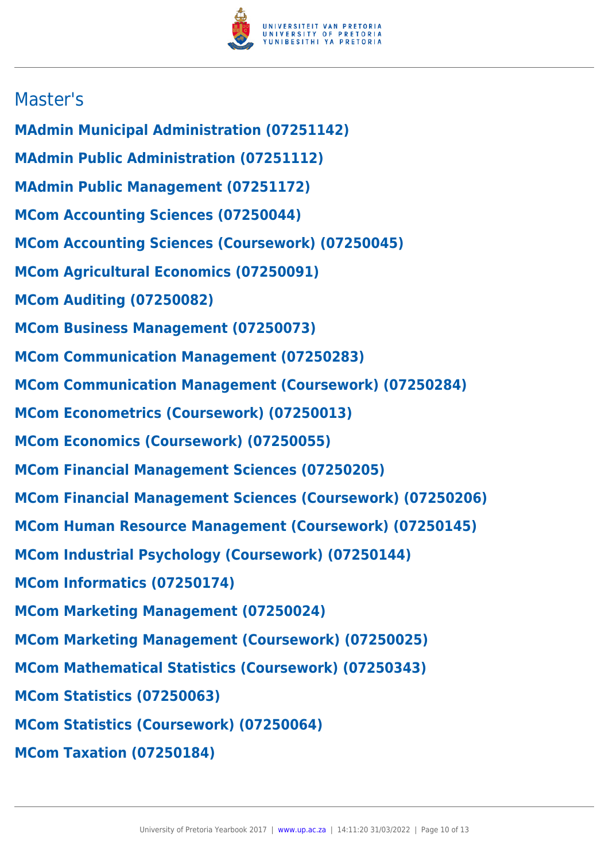

# Master's

- **MAdmin Municipal Administration (07251142)**
- **MAdmin Public Administration (07251112)**
- **MAdmin Public Management (07251172)**
- **MCom Accounting Sciences (07250044)**
- **MCom Accounting Sciences (Coursework) (07250045)**
- **MCom Agricultural Economics (07250091)**
- **MCom Auditing (07250082)**
- **MCom Business Management (07250073)**
- **MCom Communication Management (07250283)**
- **MCom Communication Management (Coursework) (07250284)**
- **MCom Econometrics (Coursework) (07250013)**
- **MCom Economics (Coursework) (07250055)**
- **MCom Financial Management Sciences (07250205)**
- **MCom Financial Management Sciences (Coursework) (07250206)**
- **MCom Human Resource Management (Coursework) (07250145)**
- **MCom Industrial Psychology (Coursework) (07250144)**
- **MCom Informatics (07250174)**
- **MCom Marketing Management (07250024)**
- **MCom Marketing Management (Coursework) (07250025)**
- **MCom Mathematical Statistics (Coursework) (07250343)**
- **MCom Statistics (07250063)**
- **MCom Statistics (Coursework) (07250064)**
- **MCom Taxation (07250184)**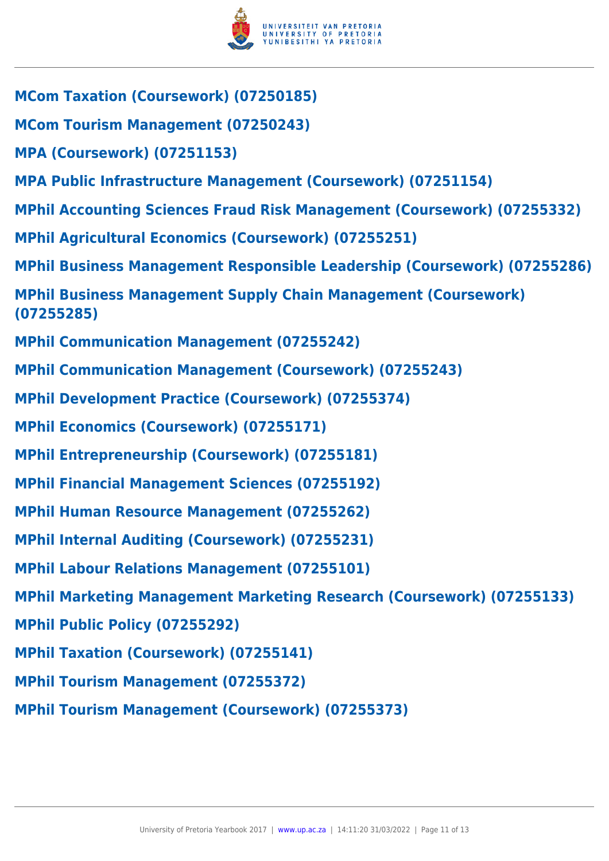

- **MCom Taxation (Coursework) (07250185)**
- **MCom Tourism Management (07250243)**
- **MPA (Coursework) (07251153)**
- **MPA Public Infrastructure Management (Coursework) (07251154)**
- **MPhil Accounting Sciences Fraud Risk Management (Coursework) (07255332)**
- **MPhil Agricultural Economics (Coursework) (07255251)**
- **MPhil Business Management Responsible Leadership (Coursework) (07255286)**
- **MPhil Business Management Supply Chain Management (Coursework) (07255285)**
- **MPhil Communication Management (07255242)**
- **MPhil Communication Management (Coursework) (07255243)**
- **MPhil Development Practice (Coursework) (07255374)**
- **MPhil Economics (Coursework) (07255171)**
- **MPhil Entrepreneurship (Coursework) (07255181)**
- **MPhil Financial Management Sciences (07255192)**
- **MPhil Human Resource Management (07255262)**
- **MPhil Internal Auditing (Coursework) (07255231)**
- **MPhil Labour Relations Management (07255101)**
- **MPhil Marketing Management Marketing Research (Coursework) (07255133)**
- **MPhil Public Policy (07255292)**
- **MPhil Taxation (Coursework) (07255141)**
- **MPhil Tourism Management (07255372)**
- **MPhil Tourism Management (Coursework) (07255373)**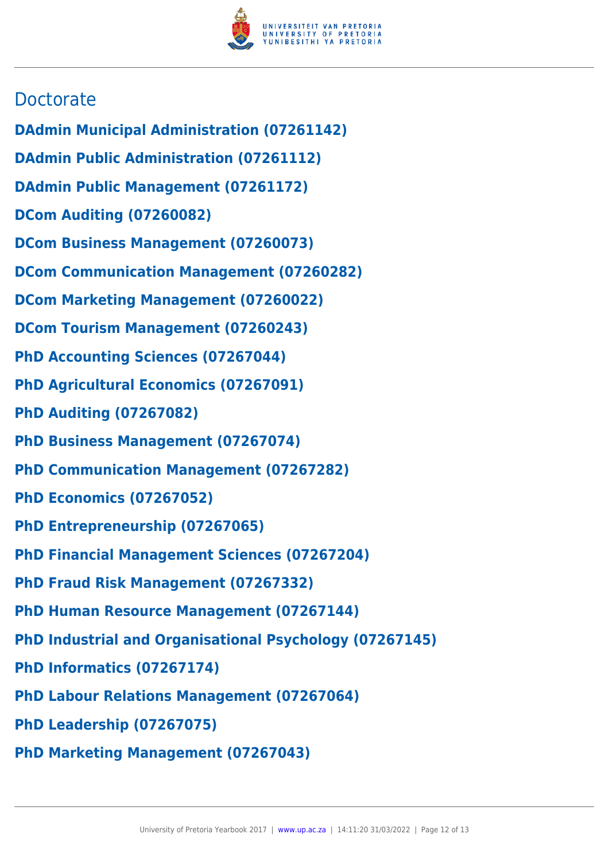

# **Doctorate**

- **DAdmin Municipal Administration (07261142)**
- **DAdmin Public Administration (07261112)**
- **DAdmin Public Management (07261172)**
- **DCom Auditing (07260082)**
- **DCom Business Management (07260073)**
- **DCom Communication Management (07260282)**
- **DCom Marketing Management (07260022)**
- **DCom Tourism Management (07260243)**
- **PhD Accounting Sciences (07267044)**
- **PhD Agricultural Economics (07267091)**
- **PhD Auditing (07267082)**
- **PhD Business Management (07267074)**
- **PhD Communication Management (07267282)**
- **PhD Economics (07267052)**
- **PhD Entrepreneurship (07267065)**
- **PhD Financial Management Sciences (07267204)**
- **PhD Fraud Risk Management (07267332)**
- **PhD Human Resource Management (07267144)**
- **PhD Industrial and Organisational Psychology (07267145)**
- **PhD Informatics (07267174)**
- **PhD Labour Relations Management (07267064)**
- **PhD Leadership (07267075)**
- **PhD Marketing Management (07267043)**